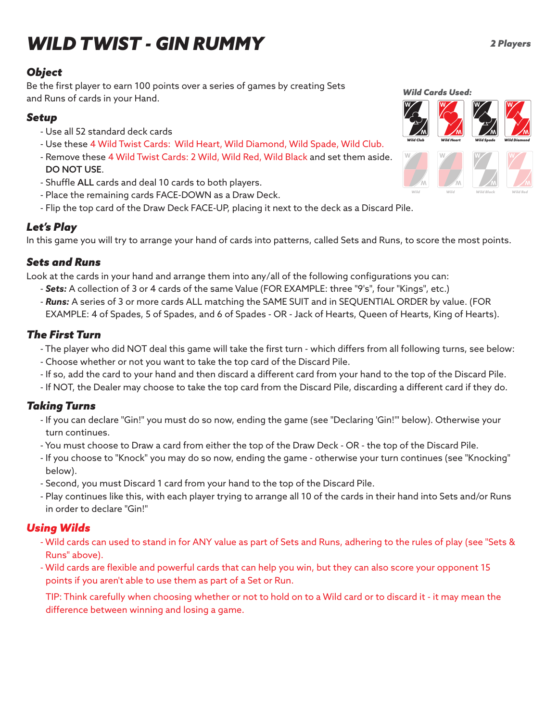# *WILD TWIST - GIN RUMMY*

#### *Object*

Be the first player to earn 100 points over a series of games by creating Sets and Runs of cards in your Hand.

#### *Setup*

- Use all 52 standard deck cards
- Use these 4 Wild Twist Cards: Wild Heart, Wild Diamond, Wild Spade, Wild Club.
- Remove these 4 Wild Twist Cards: 2 Wild, Wild Red, Wild Black and set them aside. DO NOT USE.
- Shuffle ALL cards and deal 10 cards to both players.
- Place the remaining cards FACE-DOWN as a Draw Deck.
- Flip the top card of the Draw Deck FACE-UP, placing it next to the deck as a Discard Pile.

## *Let's Play*

In this game you will try to arrange your hand of cards into patterns, called Sets and Runs, to score the most points.

## *Sets and Runs*

Look at the cards in your hand and arrange them into any/all of the following configurations you can:

- *Sets:* A collection of 3 or 4 cards of the same Value (FOR EXAMPLE: three "9's", four "Kings", etc.)
- *Runs:* A series of 3 or more cards ALL matching the SAME SUIT and in SEQUENTIAL ORDER by value. (FOR EXAMPLE: 4 of Spades, 5 of Spades, and 6 of Spades - OR - Jack of Hearts, Queen of Hearts, King of Hearts).

# *The First Turn*

- The player who did NOT deal this game will take the first turn which differs from all following turns, see below:
- Choose whether or not you want to take the top card of the Discard Pile.
- If so, add the card to your hand and then discard a different card from your hand to the top of the Discard Pile.
- If NOT, the Dealer may choose to take the top card from the Discard Pile, discarding a different card if they do.

# *Taking Turns*

- If you can declare "Gin!" you must do so now, ending the game (see "Declaring 'Gin!'" below). Otherwise your turn continues.
- You must choose to Draw a card from either the top of the Draw Deck OR the top of the Discard Pile.
- If you choose to "Knock" you may do so now, ending the game otherwise your turn continues (see "Knocking" below).
- Second, you must Discard 1 card from your hand to the top of the Discard Pile.
- Play continues like this, with each player trying to arrange all 10 of the cards in their hand into Sets and/or Runs in order to declare "Gin!"

# *Using Wilds*

- Wild cards can used to stand in for ANY value as part of Sets and Runs, adhering to the rules of play (see "Sets & Runs" above).
- Wild cards are flexible and powerful cards that can help you win, but they can also score your opponent 15 points if you aren't able to use them as part of a Set or Run.

TIP: Think carefully when choosing whether or not to hold on to a Wild card or to discard it - it may mean the difference between winning and losing a game.

*Wild Cards Used: Wild Club Wild Heart Wild Spade Wild Diamond* **W W W W W W W W W W W W W W**

*Wild*

*Wild Wild Black Wild Red*